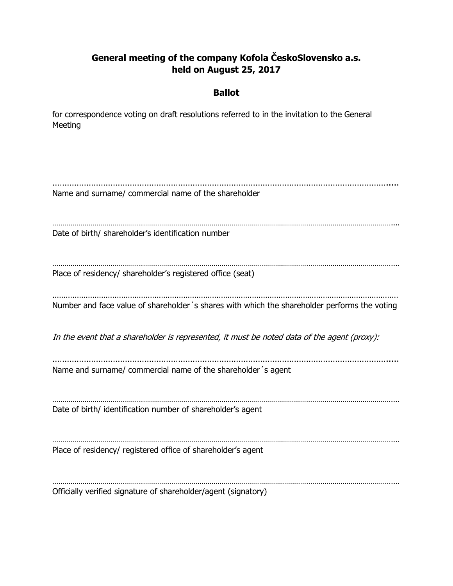## **General meeting of the company Kofola ČeskoSlovensko a.s. held on August 25, 2017**

### **Ballot**

for correspondence voting on draft resolutions referred to in the invitation to the General Meeting

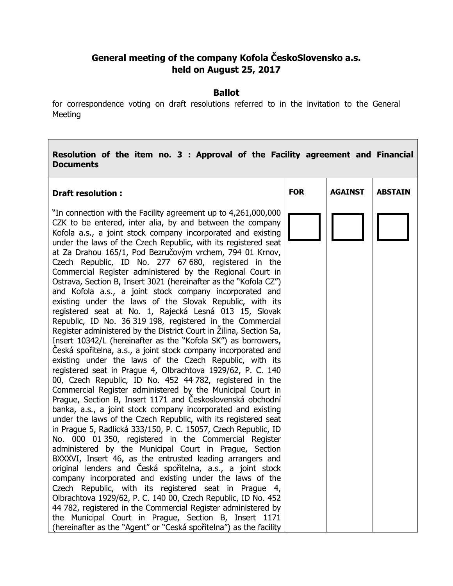# **General meeting of the company Kofola ČeskoSlovensko a.s. held on August 25, 2017**

#### **Ballot**

for correspondence voting on draft resolutions referred to in the invitation to the General Meeting

#### **Resolution of the item no. 3 : Approval of the Facility agreement and Financial Documents**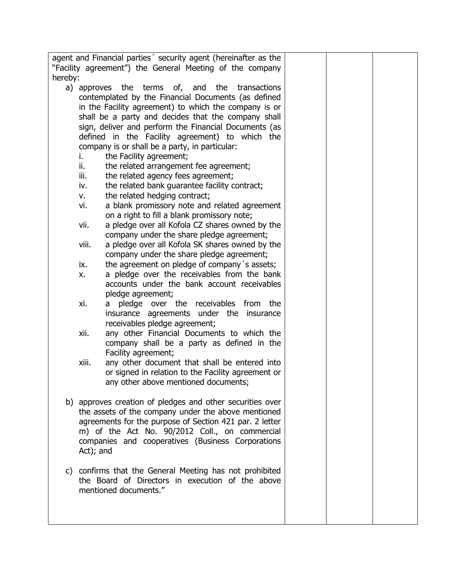|         | agent and Financial parties' security agent (hereinafter as the<br>"Facility agreement") the General Meeting of the company |  |  |
|---------|-----------------------------------------------------------------------------------------------------------------------------|--|--|
| hereby: |                                                                                                                             |  |  |
|         | a) approves the terms of, and the transactions                                                                              |  |  |
|         | contemplated by the Financial Documents (as defined                                                                         |  |  |
|         | in the Facility agreement) to which the company is or                                                                       |  |  |
|         | shall be a party and decides that the company shall                                                                         |  |  |
|         | sign, deliver and perform the Financial Documents (as                                                                       |  |  |
|         |                                                                                                                             |  |  |
|         | defined in the Facility agreement) to which the                                                                             |  |  |
|         | company is or shall be a party, in particular:                                                                              |  |  |
|         | the Facility agreement;<br>i.                                                                                               |  |  |
|         | ii.<br>the related arrangement fee agreement;                                                                               |  |  |
|         | the related agency fees agreement;<br>iii.                                                                                  |  |  |
|         | the related bank guarantee facility contract;<br>iv.                                                                        |  |  |
|         | the related hedging contract;<br>۷.                                                                                         |  |  |
|         | a blank promissory note and related agreement<br>vi.                                                                        |  |  |
|         | on a right to fill a blank promissory note;                                                                                 |  |  |
|         | a pledge over all Kofola CZ shares owned by the<br>vii.                                                                     |  |  |
|         | company under the share pledge agreement;                                                                                   |  |  |
|         | viii.<br>a pledge over all Kofola SK shares owned by the                                                                    |  |  |
|         | company under the share pledge agreement;                                                                                   |  |  |
|         | ix.<br>the agreement on pledge of company's assets;                                                                         |  |  |
|         | a pledge over the receivables from the bank<br>x.                                                                           |  |  |
|         | accounts under the bank account receivables                                                                                 |  |  |
|         | pledge agreement;                                                                                                           |  |  |
|         | pledge over the receivables from the<br>χi.<br>a                                                                            |  |  |
|         | insurance agreements under the insurance                                                                                    |  |  |
|         | receivables pledge agreement;                                                                                               |  |  |
|         | xii.<br>any other Financial Documents to which the                                                                          |  |  |
|         | company shall be a party as defined in the                                                                                  |  |  |
|         | Facility agreement;                                                                                                         |  |  |
|         | xiii.<br>any other document that shall be entered into                                                                      |  |  |
|         | or signed in relation to the Facility agreement or                                                                          |  |  |
|         | any other above mentioned documents;                                                                                        |  |  |
|         |                                                                                                                             |  |  |
|         | b) approves creation of pledges and other securities over                                                                   |  |  |
|         | the assets of the company under the above mentioned                                                                         |  |  |
|         | agreements for the purpose of Section 421 par. 2 letter                                                                     |  |  |
|         | m) of the Act No. 90/2012 Coll., on commercial                                                                              |  |  |
|         | companies and cooperatives (Business Corporations                                                                           |  |  |
|         |                                                                                                                             |  |  |
|         | Act); and                                                                                                                   |  |  |
|         |                                                                                                                             |  |  |
| C)      | confirms that the General Meeting has not prohibited                                                                        |  |  |
|         | the Board of Directors in execution of the above                                                                            |  |  |
|         | mentioned documents."                                                                                                       |  |  |
|         |                                                                                                                             |  |  |
|         |                                                                                                                             |  |  |
|         |                                                                                                                             |  |  |